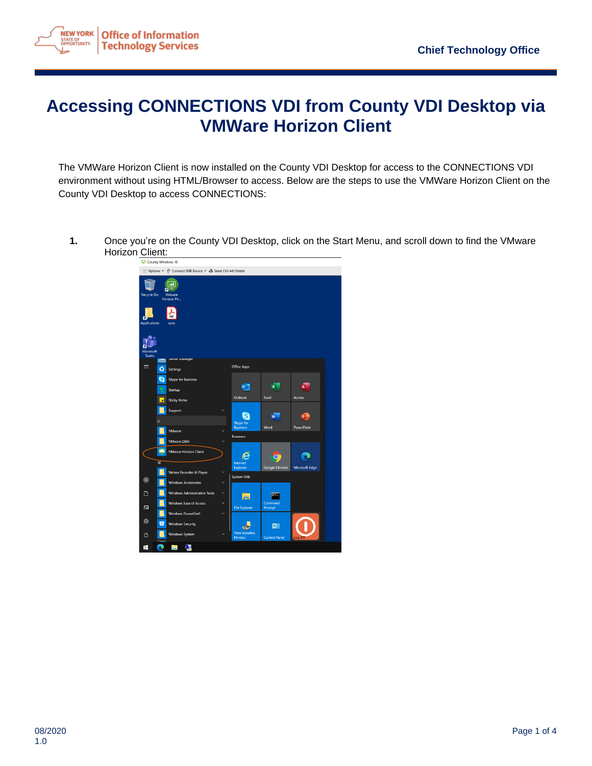

## **Accessing CONNECTIONS VDI from County VDI Desktop via VMWare Horizon Client**

The VMWare Horizon Client is now installed on the County VDI Desktop for access to the CONNECTIONS VDI environment without using HTML/Browser to access. Below are the steps to use the VMWare Horizon Client on the County VDI Desktop to access CONNECTIONS:

**1.** Once you're on the County VDI Desktop, click on the Start Menu, and scroll down to find the VMware Horizon Client:

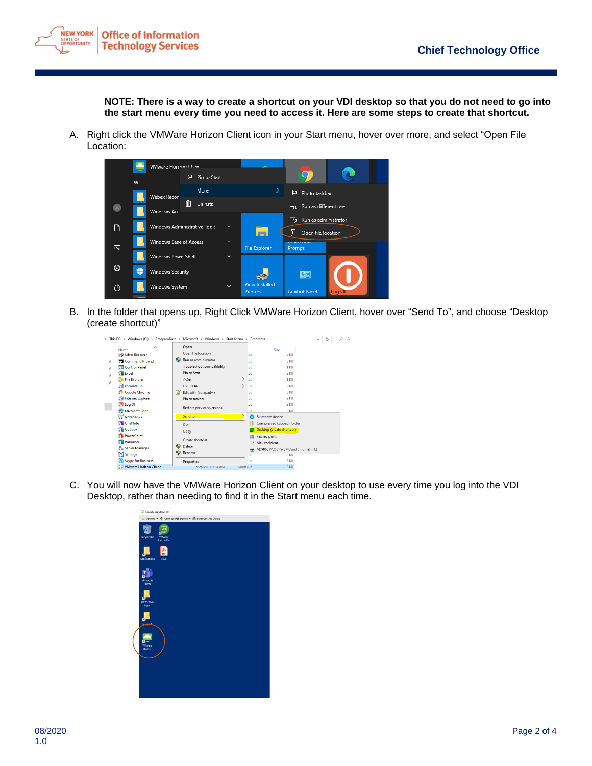

**NOTE: There is a way to create a shortcut on your VDI desktop so that you do not need to go into the start menu every time you need to access it. Here are some steps to create that shortcut.**

A. Right click the VMWare Horizon Client icon in your Start menu, hover over more, and select "Open File Location:



B. In the folder that opens up, Right Click VMWare Horizon Client, hover over "Send To", and choose "Desktop (create shortcut)"

| Open<br>Size<br>Name<br>Open file location<br>第27 Citrix Receiver<br>2KB<br>lut<br>Run as administrator<br><b>Command Prompt</b><br>$2$ KB<br>lut<br>÷<br>Troubleshoot compatibility<br>Control Panel<br>1 <sub>KB</sub><br>lut<br>À<br>Pin to Start<br><b>S</b> Excel<br>3 KB<br>lut<br>$\mathcal{L}$<br>$7 - Zip$<br><b>File Explorer</b><br>$1 K$ B<br>lut<br>À<br>FormatHub<br>CRC SHA<br>3 KB<br>lut<br><b>SP</b> Google Chrome<br>3 KB<br>Edit with Notepad++<br>M<br>lut<br>Internet Explorer<br>2 KB<br>Pin to taskbar<br>lut |  |
|---------------------------------------------------------------------------------------------------------------------------------------------------------------------------------------------------------------------------------------------------------------------------------------------------------------------------------------------------------------------------------------------------------------------------------------------------------------------------------------------------------------------------------------|--|
|                                                                                                                                                                                                                                                                                                                                                                                                                                                                                                                                       |  |
|                                                                                                                                                                                                                                                                                                                                                                                                                                                                                                                                       |  |
|                                                                                                                                                                                                                                                                                                                                                                                                                                                                                                                                       |  |
| <b>D</b> Log Off<br>$2$ KB<br>lut<br>Restore previous versions<br>Microsoft Edge<br>3 KB<br>ut<br>Send to<br>$\sqrt{\frac{1}{2}}$ Notepad++<br>Bluetooth device<br>0                                                                                                                                                                                                                                                                                                                                                                  |  |
| <b>D</b> OneNote<br>Compressed (zipped) folder<br>Cut<br><b>B</b> Outlook<br>Desktop (create shortcut)<br>Copy                                                                                                                                                                                                                                                                                                                                                                                                                        |  |
| <b>B</b> PowerPoint<br>Fax recipient<br>時<br>Create shortcut<br><b>Rublisher</b><br>Mail recipient<br>œ<br>Φ<br>Delete<br>Server Manager<br>AD9863 (\\OCFS-SMB\ocfs home) (H:)                                                                                                                                                                                                                                                                                                                                                        |  |
| Φ<br>Rename<br>Settings<br>पा<br>5 NB<br>S Skype for Business<br>3 KB<br>lut<br>Properties<br>$2$ KB<br>- VMware Horizon Client<br>snortčut<br>3/20/2021 9:34 AM                                                                                                                                                                                                                                                                                                                                                                      |  |

C. You will now have the VMWare Horizon Client on your desktop to use every time you log into the VDI Desktop, rather than needing to find it in the Start menu each time.

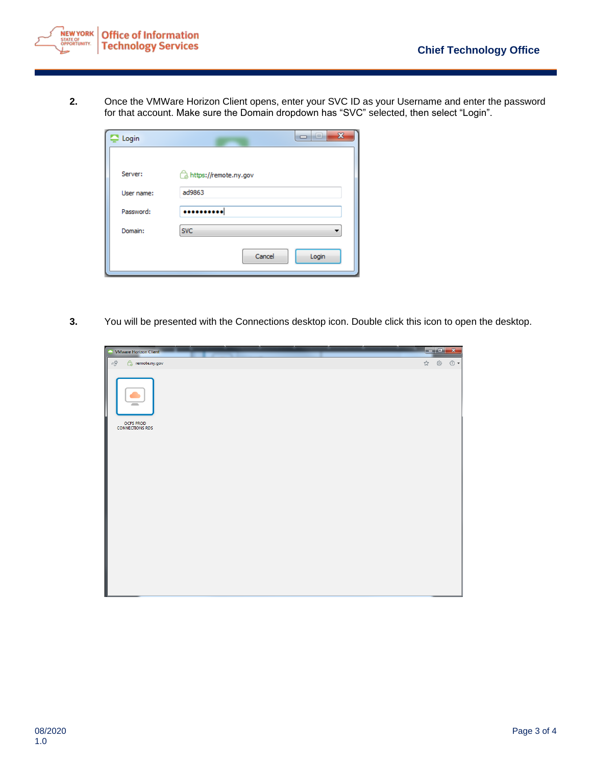

**2.** Once the VMWare Horizon Client opens, enter your SVC ID as your Username and enter the password for that account. Make sure the Domain dropdown has "SVC" selected, then select "Login".

| Login      | $\mathbf{x}$<br>--<br>⊐ |
|------------|-------------------------|
|            |                         |
| Server:    | https://remote.ny.gov   |
| User name: | ad9863                  |
| Password:  |                         |
| Domain:    | <b>SVC</b>              |
|            | Cancel<br>Login         |
|            |                         |

**3.** You will be presented with the Connections desktop icon. Double click this icon to open the desktop.